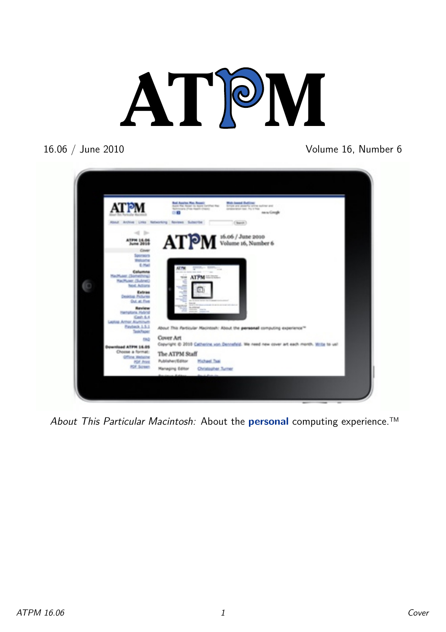# **AT**P**M**

16.06 / June 2010 Volume 16, Number 6



About This Particular Macintosh: About the **personal** computing experience.™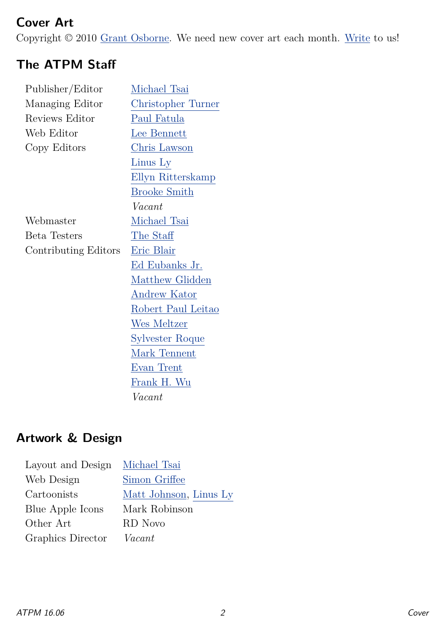### **Cover Art**

Copyright © 2010 [Grant Osborne.](http://www.basenotes.net) We need new cover art each month. [Write](mailto:cover-art@atpm.com) to us!

### **The ATPM Staff**

| Publisher/Editor     | Michael Tsai        |
|----------------------|---------------------|
| Managing Editor      | Christopher Turner  |
| Reviews Editor       | Paul Fatula         |
| Web Editor           | Lee Bennett         |
| Copy Editors         | Chris Lawson        |
|                      | Linus Ly            |
|                      | Ellyn Ritterskamp   |
|                      | <b>Brooke Smith</b> |
|                      | Vacant              |
| Webmaster            | Michael Tsai        |
| Beta Testers         | The Staff           |
| Contributing Editors | Eric Blair          |
|                      | Ed Eubanks Jr.      |
|                      | Matthew Glidden     |
|                      | <b>Andrew Kator</b> |
|                      | Robert Paul Leitao  |
|                      | Wes Meltzer         |
|                      | Sylvester Roque     |
|                      | Mark Tennent        |
|                      | Evan Trent          |
|                      | <u>Frank H. Wu</u>  |

*Vacant*

### **Artwork & Design**

| Layout and Design | Michael Tsai           |
|-------------------|------------------------|
| Web Design        | Simon Griffee          |
| Cartoonists       | Matt Johnson, Linus Ly |
| Blue Apple Icons  | Mark Robinson          |
| Other Art         | RD Novo                |
| Graphics Director | Vacant                 |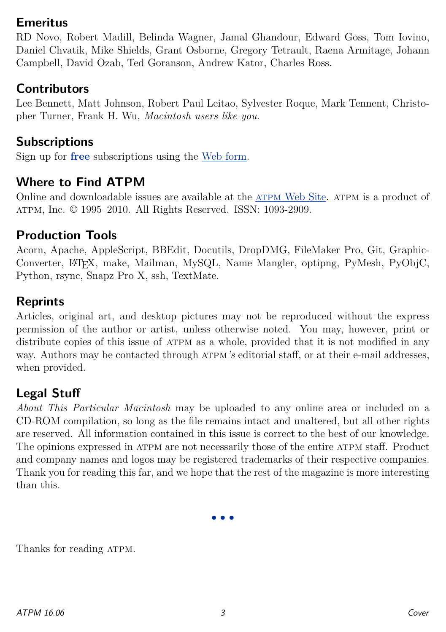### **Emeritus**

RD Novo, Robert Madill, Belinda Wagner, Jamal Ghandour, Edward Goss, Tom Iovino, Daniel Chvatik, Mike Shields, Grant Osborne, Gregory Tetrault, Raena Armitage, Johann Campbell, David Ozab, Ted Goranson, Andrew Kator, Charles Ross.

### **Contributors**

Lee Bennett, Matt Johnson, Robert Paul Leitao, Sylvester Roque, Mark Tennent, Christopher Turner, Frank H. Wu, *Macintosh users like you*.

### **Subscriptions**

Sign up for **free** subscriptions using the [Web form.](http://www.atpm.com/subscribe/)

### **Where to Find ATPM**

Online and downloadable issues are available at the ATPM [Web Site.](http://www.atpm.com) ATPM is a product of atpm, Inc. © 1995–2010. All Rights Reserved. ISSN: 1093-2909.

### **Production Tools**

Acorn, Apache, AppleScript, BBEdit, Docutils, DropDMG, FileMaker Pro, Git, Graphic-Converter, LATEX, make, Mailman, MySQL, Name Mangler, optipng, PyMesh, PyObjC, Python, rsync, Snapz Pro X, ssh, TextMate.

### **Reprints**

Articles, original art, and desktop pictures may not be reproduced without the express permission of the author or artist, unless otherwise noted. You may, however, print or distribute copies of this issue of ATPM as a whole, provided that it is not modified in any way. Authors may be contacted through ATPM's editorial staff, or at their e-mail addresses, when provided.

### **Legal Stuff**

*About This Particular Macintosh* may be uploaded to any online area or included on a CD-ROM compilation, so long as the file remains intact and unaltered, but all other rights are reserved. All information contained in this issue is correct to the best of our knowledge. The opinions expressed in ATPM are not necessarily those of the entire ATPM staff. Product and company names and logos may be registered trademarks of their respective companies. Thank you for reading this far, and we hope that the rest of the magazine is more interesting than this.

*• • •*

Thanks for reading ATPM.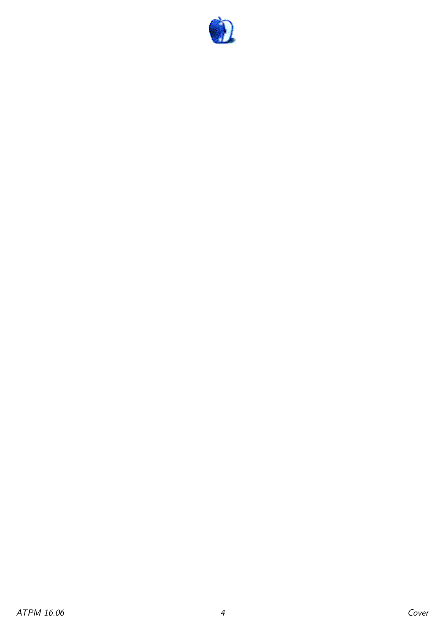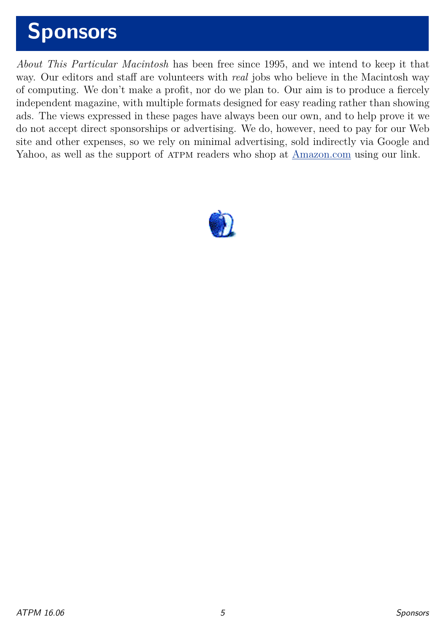### **Sponsors**

*About This Particular Macintosh* has been free since 1995, and we intend to keep it that way. Our editors and staff are volunteers with *real* jobs who believe in the Macintosh way of computing. We don't make a profit, nor do we plan to. Our aim is to produce a fiercely independent magazine, with multiple formats designed for easy reading rather than showing ads. The views expressed in these pages have always been our own, and to help prove it we do not accept direct sponsorships or advertising. We do, however, need to pay for our Web site and other expenses, so we rely on minimal advertising, sold indirectly via Google and Yahoo, as well as the support of ATPM readers who shop at [Amazon.com](http://www.amazon.com/exec/obidos/redirect-home/aboutthisparticu) using our link.

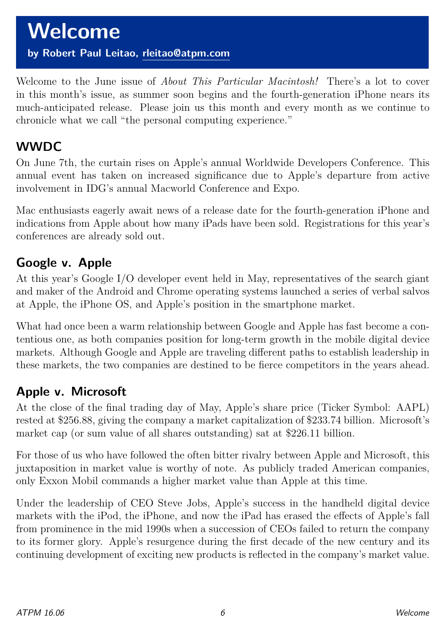### **Welcome**

**by Robert Paul Leitao, [rleitao@atpm.com](mailto:rleitao@atpm.com)**

Welcome to the June issue of *About This Particular Macintosh!* There's a lot to cover in this month's issue, as summer soon begins and the fourth-generation iPhone nears its much-anticipated release. Please join us this month and every month as we continue to chronicle what we call "the personal computing experience."

### **WWDC**

On June 7th, the curtain rises on Apple's annual Worldwide Developers Conference. This annual event has taken on increased significance due to Apple's departure from active involvement in IDG's annual Macworld Conference and Expo.

Mac enthusiasts eagerly await news of a release date for the fourth-generation iPhone and indications from Apple about how many iPads have been sold. Registrations for this year's conferences are already sold out.

### **Google v. Apple**

At this year's Google I/O developer event held in May, representatives of the search giant and maker of the Android and Chrome operating systems launched a series of verbal salvos at Apple, the iPhone OS, and Apple's position in the smartphone market.

What had once been a warm relationship between Google and Apple has fast become a contentious one, as both companies position for long-term growth in the mobile digital device markets. Although Google and Apple are traveling different paths to establish leadership in these markets, the two companies are destined to be fierce competitors in the years ahead.

### **Apple v. Microsoft**

At the close of the final trading day of May, Apple's share price (Ticker Symbol: AAPL) rested at \$256.88, giving the company a market capitalization of \$233.74 billion. Microsoft's market cap (or sum value of all shares outstanding) sat at \$226.11 billion.

For those of us who have followed the often bitter rivalry between Apple and Microsoft, this juxtaposition in market value is worthy of note. As publicly traded American companies, only Exxon Mobil commands a higher market value than Apple at this time.

Under the leadership of CEO Steve Jobs, Apple's success in the handheld digital device markets with the iPod, the iPhone, and now the iPad has erased the effects of Apple's fall from prominence in the mid 1990s when a succession of CEOs failed to return the company to its former glory. Apple's resurgence during the first decade of the new century and its continuing development of exciting new products is reflected in the company's market value.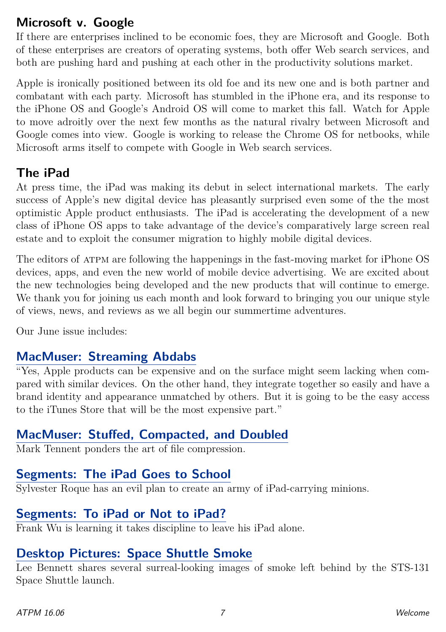### **Microsoft v. Google**

If there are enterprises inclined to be economic foes, they are Microsoft and Google. Both of these enterprises are creators of operating systems, both offer Web search services, and both are pushing hard and pushing at each other in the productivity solutions market.

Apple is ironically positioned between its old foe and its new one and is both partner and combatant with each party. Microsoft has stumbled in the iPhone era, and its response to the iPhone OS and Google's Android OS will come to market this fall. Watch for Apple to move adroitly over the next few months as the natural rivalry between Microsoft and Google comes into view. Google is working to release the Chrome OS for netbooks, while Microsoft arms itself to compete with Google in Web search services.

### **The iPad**

At press time, the iPad was making its debut in select international markets. The early success of Apple's new digital device has pleasantly surprised even some of the the most optimistic Apple product enthusiasts. The iPad is accelerating the development of a new class of iPhone OS apps to take advantage of the device's comparatively large screen real estate and to exploit the consumer migration to highly mobile digital devices.

The editors of ATPM are following the happenings in the fast-moving market for iPhone OS devices, apps, and even the new world of mobile device advertising. We are excited about the new technologies being developed and the new products that will continue to emerge. We thank you for joining us each month and look forward to bringing you our unique style of views, news, and reviews as we all begin our summertime adventures.

Our June issue includes:

### **[MacMuser: Streaming Abdabs](http://www.atpm.com/16.06/macmuser-streaming.shtml)**

"Yes, Apple products can be expensive and on the surface might seem lacking when compared with similar devices. On the other hand, they integrate together so easily and have a brand identity and appearance unmatched by others. But it is going to be the easy access to the iTunes Store that will be the most expensive part."

### **[MacMuser: Stuffed, Compacted, and Doubled](http://www.atpm.com/16.06/macmuser-stuffed.shtml)**

Mark Tennent ponders the art of file compression.

### **[Segments: The iPad Goes to School](http://www.atpm.com/16.06/ipad-school.shtml)**

Sylvester Roque has an evil plan to create an army of iPad-carrying minions.

### **[Segments: To iPad or Not to iPad?](http://www.atpm.com/16.06/ipad-meetings.shtml)**

Frank Wu is learning it takes discipline to leave his iPad alone.

### **[Desktop Pictures: Space Shuttle Smoke](http://www.atpm.com/16.06/desktop-pictures.shtml)**

Lee Bennett shares several surreal-looking images of smoke left behind by the STS-131 Space Shuttle launch.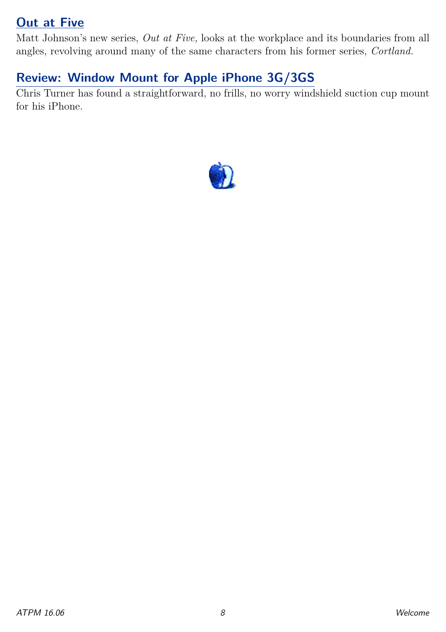### **[Out at Five](http://www.atpm.com/16.06/out-at-five.shtml)**

Matt Johnson's new series, *Out at Five,* looks at the workplace and its boundaries from all angles, revolving around many of the same characters from his former series, *Cortland.*

### **[Review: Window Mount for Apple iPhone 3G/3GS](http://www.atpm.com/16.06/window-mount.shtml)**

Chris Turner has found a straightforward, no frills, no worry windshield suction cup mount for his iPhone.

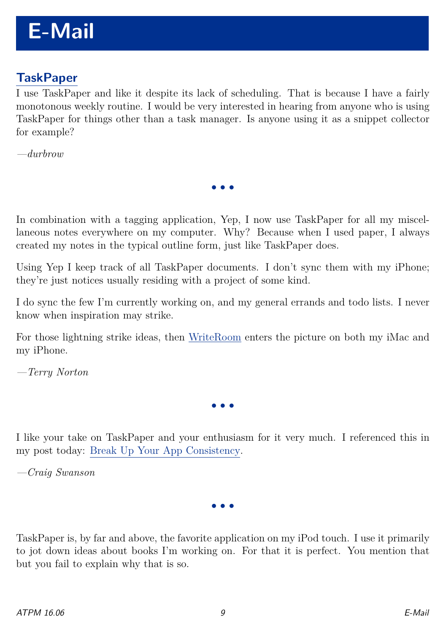### **E-Mail**

### **[TaskPaper](http://www.atpm.com/16.05/taskpaper.shtml)**

I use TaskPaper and like it despite its lack of scheduling. That is because I have a fairly monotonous weekly routine. I would be very interested in hearing from anyone who is using TaskPaper for things other than a task manager. Is anyone using it as a snippet collector for example?

*—durbrow*

In combination with a tagging application, Yep, I now use TaskPaper for all my miscellaneous notes everywhere on my computer. Why? Because when I used paper, I always created my notes in the typical outline form, just like TaskPaper does.

*• • •*

Using Yep I keep track of all TaskPaper documents. I don't sync them with my iPhone; they're just notices usually residing with a project of some kind.

I do sync the few I'm currently working on, and my general errands and todo lists. I never know when inspiration may strike.

For those lightning strike ideas, then [WriteRoom](http://www.atpm.com/12.09/writeroom.shtml) enters the picture on both my iMac and my iPhone.

*—Terry Norton*

*• • •*

I like your take on TaskPaper and your enthusiasm for it very much. I referenced this in my post today: [Break Up Your App Consistency.](http://builttobe.typepad.com/destroyed/2010/05/break-up-your-app-consistency.html)

*—Craig Swanson*

*• • •*

TaskPaper is, by far and above, the favorite application on my iPod touch. I use it primarily to jot down ideas about books I'm working on. For that it is perfect. You mention that but you fail to explain why that is so.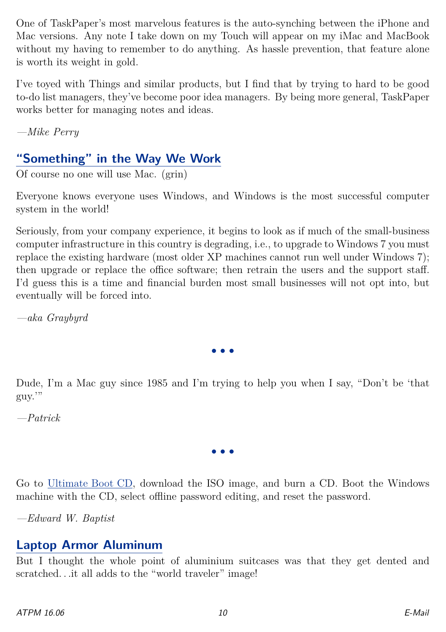One of TaskPaper's most marvelous features is the auto-synching between the iPhone and Mac versions. Any note I take down on my Touch will appear on my iMac and MacBook without my having to remember to do anything. As hassle prevention, that feature alone is worth its weight in gold.

I've toyed with Things and similar products, but I find that by trying to hard to be good to-do list managers, they've become poor idea managers. By being more general, TaskPaper works better for managing notes and ideas.

*—Mike Perry*

### **["Something" in the Way We Work](http://www.atpm.com/16.05/macmuser-something.shtml)**

Of course no one will use Mac. (grin)

Everyone knows everyone uses Windows, and Windows is the most successful computer system in the world!

Seriously, from your company experience, it begins to look as if much of the small-business computer infrastructure in this country is degrading, i.e., to upgrade to Windows 7 you must replace the existing hardware (most older XP machines cannot run well under Windows 7); then upgrade or replace the office software; then retrain the users and the support staff. I'd guess this is a time and financial burden most small businesses will not opt into, but eventually will be forced into.

*—aka Graybyrd*

Dude, I'm a Mac guy since 1985 and I'm trying to help you when I say, "Don't be 'that guy.'"

*• • •*

*—Patrick*

Go to [Ultimate Boot CD,](http://www.ultimatebootcd.com) download the ISO image, and burn a CD. Boot the Windows machine with the CD, select offline password editing, and reset the password.

*• • •*

*—Edward W. Baptist*

### **[Laptop Armor Aluminum](http://www.atpm.com/16.05/laptop-armor.shtml)**

But I thought the whole point of aluminium suitcases was that they get dented and scratched. . .it all adds to the "world traveler" image!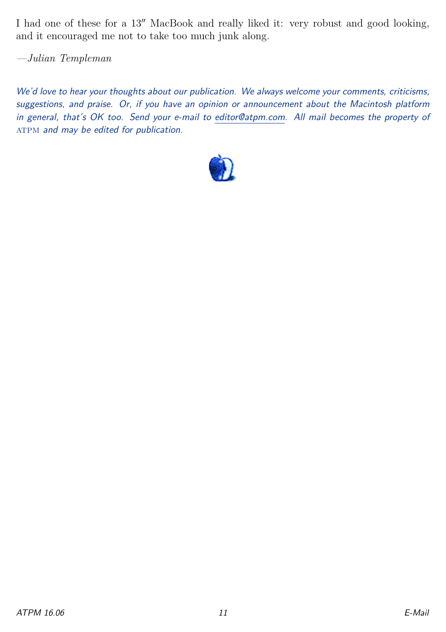I had one of these for a 13<sup>n</sup> MacBook and really liked it: very robust and good looking, and it encouraged me not to take too much junk along.

*—Julian Templeman*

We'd love to hear your thoughts about our publication. We always welcome your comments, criticisms, suggestions, and praise. Or, if you have an opinion or announcement about the Macintosh platform in general, that's OK too. Send your e-mail to [editor@atpm.com.](mailto:editor@atpm.com) All mail becomes the property of ATPM and may be edited for publication.

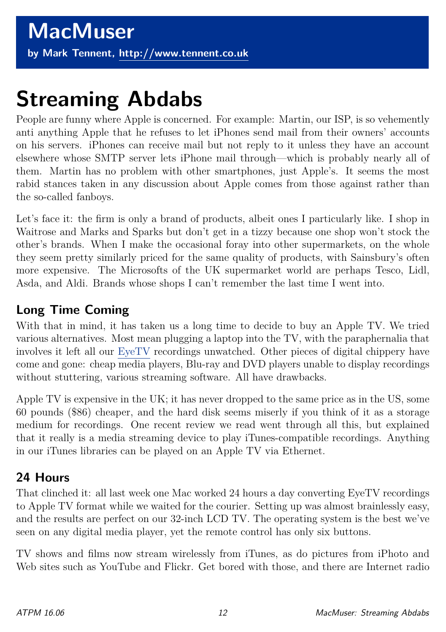### **Streaming Abdabs**

People are funny where Apple is concerned. For example: Martin, our ISP, is so vehemently anti anything Apple that he refuses to let iPhones send mail from their owners' accounts on his servers. iPhones can receive mail but not reply to it unless they have an account elsewhere whose SMTP server lets iPhone mail through—which is probably nearly all of them. Martin has no problem with other smartphones, just Apple's. It seems the most rabid stances taken in any discussion about Apple comes from those against rather than the so-called fanboys.

Let's face it: the firm is only a brand of products, albeit ones I particularly like. I shop in Waitrose and Marks and Sparks but don't get in a tizzy because one shop won't stock the other's brands. When I make the occasional foray into other supermarkets, on the whole they seem pretty similarly priced for the same quality of products, with Sainsbury's often more expensive. The Microsofts of the UK supermarket world are perhaps Tesco, Lidl, Asda, and Aldi. Brands whose shops I can't remember the last time I went into.

### **Long Time Coming**

With that in mind, it has taken us a long time to decide to buy an Apple TV. We tried various alternatives. Most mean plugging a laptop into the TV, with the paraphernalia that involves it left all our [EyeTV](http://www.atpm.com/14.07/eyetv.shtml) recordings unwatched. Other pieces of digital chippery have come and gone: cheap media players, Blu-ray and DVD players unable to display recordings without stuttering, various streaming software. All have drawbacks.

Apple TV is expensive in the UK; it has never dropped to the same price as in the US, some 60 pounds (\$86) cheaper, and the hard disk seems miserly if you think of it as a storage medium for recordings. One recent review we read went through all this, but explained that it really is a media streaming device to play iTunes-compatible recordings. Anything in our iTunes libraries can be played on an Apple TV via Ethernet.

### **24 Hours**

That clinched it: all last week one Mac worked 24 hours a day converting EyeTV recordings to Apple TV format while we waited for the courier. Setting up was almost brainlessly easy, and the results are perfect on our 32-inch LCD TV. The operating system is the best we've seen on any digital media player, yet the remote control has only six buttons.

TV shows and films now stream wirelessly from iTunes, as do pictures from iPhoto and Web sites such as YouTube and Flickr. Get bored with those, and there are Internet radio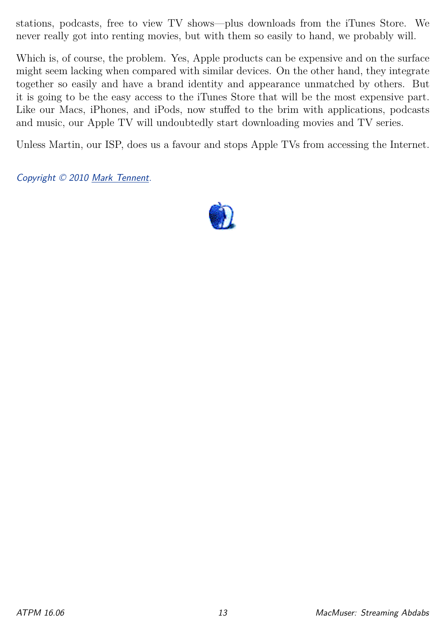stations, podcasts, free to view TV shows—plus downloads from the iTunes Store. We never really got into renting movies, but with them so easily to hand, we probably will.

Which is, of course, the problem. Yes, Apple products can be expensive and on the surface might seem lacking when compared with similar devices. On the other hand, they integrate together so easily and have a brand identity and appearance unmatched by others. But it is going to be the easy access to the iTunes Store that will be the most expensive part. Like our Macs, iPhones, and iPods, now stuffed to the brim with applications, podcasts and music, our Apple TV will undoubtedly start downloading movies and TV series.

Unless Martin, our ISP, does us a favour and stops Apple TVs from accessing the Internet.

Copyright © 2010 [Mark Tennent.](http://www.tennent.co.uk)

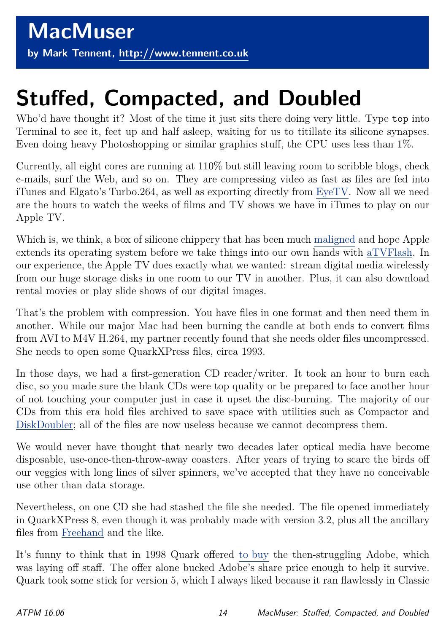### **Stuffed, Compacted, and Doubled**

Who'd have thought it? Most of the time it just sits there doing very little. Type top into Terminal to see it, feet up and half asleep, waiting for us to titillate its silicone synapses. Even doing heavy Photoshopping or similar graphics stuff, the CPU uses less than 1%.

Currently, all eight cores are running at 110% but still leaving room to scribble blogs, check e-mails, surf the Web, and so on. They are compressing video as fast as files are fed into iTunes and Elgato's Turbo.264, as well as exporting directly from [EyeTV.](http://www.atpm.com/14.07/eyetv.shtml) Now all we need are the hours to watch the weeks of films and TV shows we have in iTunes to play on our Apple TV.

Which is, we think, a box of silicone chippery that has been much [maligned](http://www.roughlydrafted.com/RD/RDM.Tech.Q1.07/147048D8-D8B7-45E7-9A97-3CD5B4C2B75A.html) and hope Apple extends its operating system before we take things into our own hands with [aTVFlash.](http://www.atvflash.com/) In our experience, the Apple TV does exactly what we wanted: stream digital media wirelessly from our huge storage disks in one room to our TV in another. Plus, it can also download rental movies or play slide shows of our digital images.

That's the problem with compression. You have files in one format and then need them in another. While our major Mac had been burning the candle at both ends to convert films from AVI to M4V H.264, my partner recently found that she needs older files uncompressed. She needs to open some QuarkXPress files, circa 1993.

In those days, we had a first-generation CD reader/writer. It took an hour to burn each disc, so you made sure the blank CDs were top quality or be prepared to face another hour of not touching your computer just in case it upset the disc-burning. The majority of our CDs from this era hold files archived to save space with utilities such as Compactor and [DiskDoubler;](http://www.atpm.com/2.06/page14.shtml) all of the files are now useless because we cannot decompress them.

We would never have thought that nearly two decades later optical media have become disposable, use-once-then-throw-away coasters. After years of trying to scare the birds off our veggies with long lines of silver spinners, we've accepted that they have no conceivable use other than data storage.

Nevertheless, on one CD she had stashed the file she needed. The file opened immediately in QuarkXPress 8, even though it was probably made with version 3.2, plus all the ancillary files from [Freehand](http://www.atpm.com/7.07/freehand.shtml) and the like.

It's funny to think that in 1998 Quark offered [to buy](http://news.cnet.com/Quark-says-bid-for-Adobe-rebuffed/2100-1001_3-214878.html) the then-struggling Adobe, which was laying off staff. The offer alone bucked Adobe's share price enough to help it survive. Quark took some stick for version 5, which I always liked because it ran flawlessly in Classic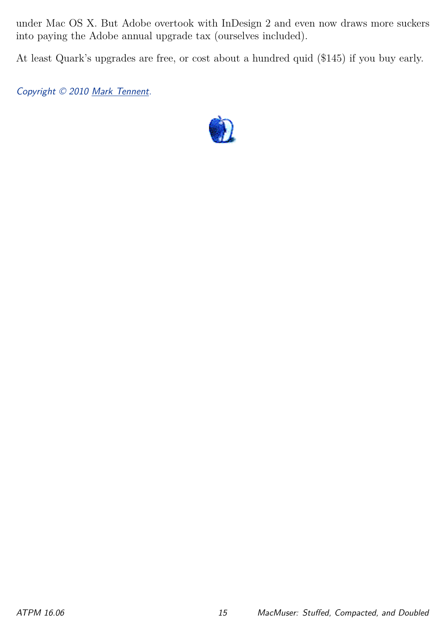under Mac OS X. But Adobe overtook with InDesign 2 and even now draws more suckers into paying the Adobe annual upgrade tax (ourselves included).

At least Quark's upgrades are free, or cost about a hundred quid (\$145) if you buy early.

Copyright © 2010 [Mark Tennent.](http://www.tennent.co.uk)

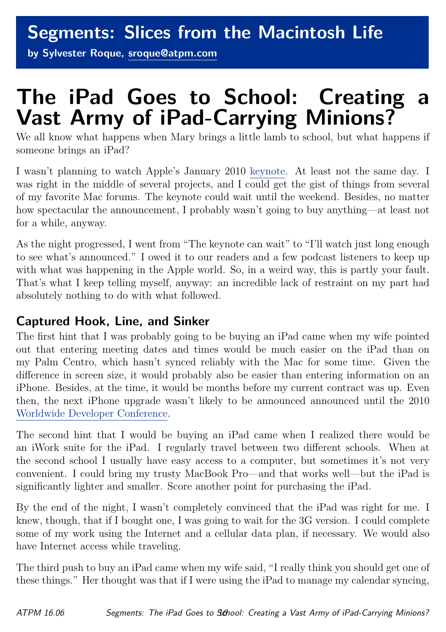**by Sylvester Roque, [sroque@atpm.com](mailto:sroque@atpm.com)**

### **The iPad Goes to School: Creating a Vast Army of iPad-Carrying Minions?**

We all know what happens when Mary brings a little lamb to school, but what happens if someone brings an iPad?

I wasn't planning to watch Apple's January 2010 [keynote.](http://www.apple.com/quicktime/qtv/specialevent0110/) At least not the same day. I was right in the middle of several projects, and I could get the gist of things from several of my favorite Mac forums. The keynote could wait until the weekend. Besides, no matter how spectacular the announcement, I probably wasn't going to buy anything—at least not for a while, anyway.

As the night progressed, I went from "The keynote can wait" to "I'll watch just long enough to see what's announced." I owed it to our readers and a few podcast listeners to keep up with what was happening in the Apple world. So, in a weird way, this is partly your fault. That's what I keep telling myself, anyway: an incredible lack of restraint on my part had absolutely nothing to do with what followed.

### **Captured Hook, Line, and Sinker**

The first hint that I was probably going to be buying an iPad came when my wife pointed out that entering meeting dates and times would be much easier on the iPad than on my Palm Centro, which hasn't synced reliably with the Mac for some time. Given the difference in screen size, it would probably also be easier than entering information on an iPhone. Besides, at the time, it would be months before my current contract was up. Even then, the next iPhone upgrade wasn't likely to be announced announced until the 2010 [Worldwide Developer Conference.](http://developer.apple.com/wwdc/)

The second hint that I would be buying an iPad came when I realized there would be an iWork suite for the iPad. I regularly travel between two different schools. When at the second school I usually have easy access to a computer, but sometimes it's not very convenient. I could bring my trusty MacBook Pro—and that works well—but the iPad is significantly lighter and smaller. Score another point for purchasing the iPad.

By the end of the night, I wasn't completely convinced that the iPad was right for me. I knew, though, that if I bought one, I was going to wait for the 3G version. I could complete some of my work using the Internet and a cellular data plan, if necessary. We would also have Internet access while traveling.

The third push to buy an iPad came when my wife said, "I really think you should get one of these things." Her thought was that if I were using the iPad to manage my calendar syncing,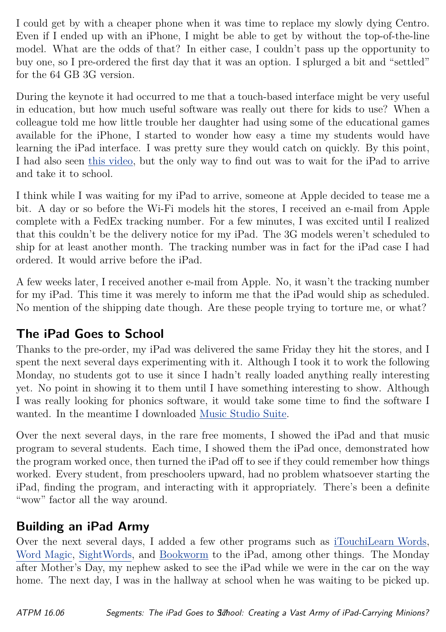I could get by with a cheaper phone when it was time to replace my slowly dying Centro. Even if I ended up with an iPhone, I might be able to get by without the top-of-the-line model. What are the odds of that? In either case, I couldn't pass up the opportunity to buy one, so I pre-ordered the first day that it was an option. I splurged a bit and "settled" for the 64 GB 3G version.

During the keynote it had occurred to me that a touch-based interface might be very useful in education, but how much useful software was really out there for kids to use? When a colleague told me how little trouble her daughter had using some of the educational games available for the iPhone, I started to wonder how easy a time my students would have learning the iPad interface. I was pretty sure they would catch on quickly. By this point, I had also seen [this video,](http://www.youtube.com/watch?v=pT4EbM7dCMs) but the only way to find out was to wait for the iPad to arrive and take it to school.

I think while I was waiting for my iPad to arrive, someone at Apple decided to tease me a bit. A day or so before the Wi-Fi models hit the stores, I received an e-mail from Apple complete with a FedEx tracking number. For a few minutes, I was excited until I realized that this couldn't be the delivery notice for my iPad. The 3G models weren't scheduled to ship for at least another month. The tracking number was in fact for the iPad case I had ordered. It would arrive before the iPad.

A few weeks later, I received another e-mail from Apple. No, it wasn't the tracking number for my iPad. This time it was merely to inform me that the iPad would ship as scheduled. No mention of the shipping date though. Are these people trying to torture me, or what?

### **The iPad Goes to School**

Thanks to the pre-order, my iPad was delivered the same Friday they hit the stores, and I spent the next several days experimenting with it. Although I took it to work the following Monday, no students got to use it since I hadn't really loaded anything really interesting yet. No point in showing it to them until I have something interesting to show. Although I was really looking for phonics software, it would take some time to find the software I wanted. In the meantime I downloaded [Music Studio Suite.](http://pxing-studio.com/Apps.html)

Over the next several days, in the rare free moments, I showed the iPad and that music program to several students. Each time, I showed them the iPad once, demonstrated how the program worked once, then turned the iPad off to see if they could remember how things worked. Every student, from preschoolers upward, had no problem whatsoever starting the iPad, finding the program, and interacting with it appropriately. There's been a definite "wow" factor all the way around.

### **Building an iPad Army**

Over the next several days, I added a few other programs such as [iTouchiLearn Words,](http://itunes.com/app/itouchilearnwords) [Word Magic,](http://www.anusen.com/iphone/iphone_wordmagic.html) [SightWords,](http://www.braincounts.com/BrainGames/ABCPhonicsSightWords.aspx?HD) and [Bookworm](http://www.popcap.com/games/iphone/bookworm) to the iPad, among other things. The Monday after Mother's Day, my nephew asked to see the iPad while we were in the car on the way home. The next day, I was in the hallway at school when he was waiting to be picked up.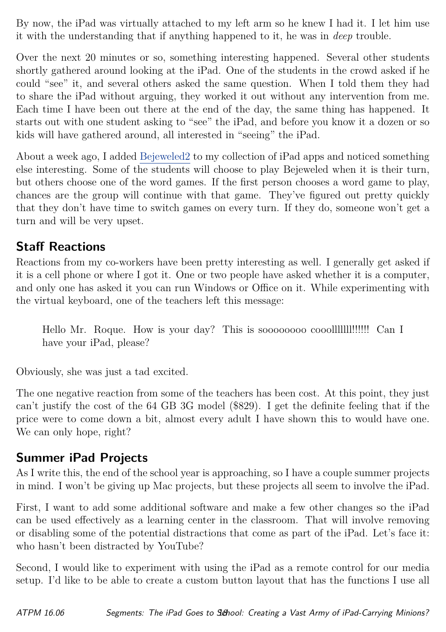By now, the iPad was virtually attached to my left arm so he knew I had it. I let him use it with the understanding that if anything happened to it, he was in *deep* trouble.

Over the next 20 minutes or so, something interesting happened. Several other students shortly gathered around looking at the iPad. One of the students in the crowd asked if he could "see" it, and several others asked the same question. When I told them they had to share the iPad without arguing, they worked it out without any intervention from me. Each time I have been out there at the end of the day, the same thing has happened. It starts out with one student asking to "see" the iPad, and before you know it a dozen or so kids will have gathered around, all interested in "seeing" the iPad.

About a week ago, I added [Bejeweled2](http://www.popcap.com/games/iphone/bejeweled2) to my collection of iPad apps and noticed something else interesting. Some of the students will choose to play Bejeweled when it is their turn, but others choose one of the word games. If the first person chooses a word game to play, chances are the group will continue with that game. They've figured out pretty quickly that they don't have time to switch games on every turn. If they do, someone won't get a turn and will be very upset.

### **Staff Reactions**

Reactions from my co-workers have been pretty interesting as well. I generally get asked if it is a cell phone or where I got it. One or two people have asked whether it is a computer, and only one has asked it you can run Windows or Office on it. While experimenting with the virtual keyboard, one of the teachers left this message:

Hello Mr. Roque. How is your day? This is soooooooo cooolllllll!!!!!! Can I have your iPad, please?

Obviously, she was just a tad excited.

The one negative reaction from some of the teachers has been cost. At this point, they just can't justify the cost of the 64 GB 3G model (\$829). I get the definite feeling that if the price were to come down a bit, almost every adult I have shown this to would have one. We can only hope, right?

### **Summer iPad Projects**

As I write this, the end of the school year is approaching, so I have a couple summer projects in mind. I won't be giving up Mac projects, but these projects all seem to involve the iPad.

First, I want to add some additional software and make a few other changes so the iPad can be used effectively as a learning center in the classroom. That will involve removing or disabling some of the potential distractions that come as part of the iPad. Let's face it: who hasn't been distracted by YouTube?

Second, I would like to experiment with using the iPad as a remote control for our media setup. I'd like to be able to create a custom button layout that has the functions I use all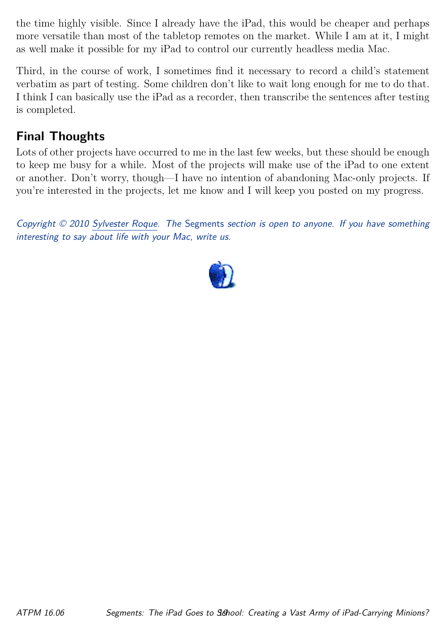the time highly visible. Since I already have the iPad, this would be cheaper and perhaps more versatile than most of the tabletop remotes on the market. While I am at it, I might as well make it possible for my iPad to control our currently headless media Mac.

Third, in the course of work, I sometimes find it necessary to record a child's statement verbatim as part of testing. Some children don't like to wait long enough for me to do that. I think I can basically use the iPad as a recorder, then transcribe the sentences after testing is completed.

### **Final Thoughts**

Lots of other projects have occurred to me in the last few weeks, but these should be enough to keep me busy for a while. Most of the projects will make use of the iPad to one extent or another. Don't worry, though—I have no intention of abandoning Mac-only projects. If you're interested in the projects, let me know and I will keep you posted on my progress.

Copyright © 2010 [Sylvester Roque.](mailto:sroque@atpm.com) The Segments section is open to anyone. If you have something interesting to say about life with your Mac, write us.

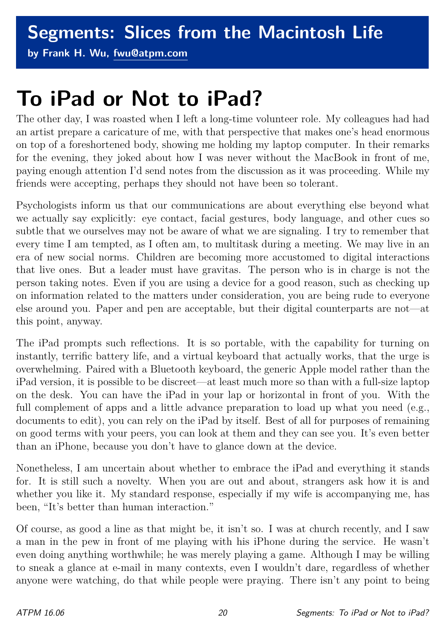**by Frank H. Wu, [fwu@atpm.com](mailto:fwu@atpm.com)**

### **To iPad or Not to iPad?**

The other day, I was roasted when I left a long-time volunteer role. My colleagues had had an artist prepare a caricature of me, with that perspective that makes one's head enormous on top of a foreshortened body, showing me holding my laptop computer. In their remarks for the evening, they joked about how I was never without the MacBook in front of me, paying enough attention I'd send notes from the discussion as it was proceeding. While my friends were accepting, perhaps they should not have been so tolerant.

Psychologists inform us that our communications are about everything else beyond what we actually say explicitly: eye contact, facial gestures, body language, and other cues so subtle that we ourselves may not be aware of what we are signaling. I try to remember that every time I am tempted, as I often am, to multitask during a meeting. We may live in an era of new social norms. Children are becoming more accustomed to digital interactions that live ones. But a leader must have gravitas. The person who is in charge is not the person taking notes. Even if you are using a device for a good reason, such as checking up on information related to the matters under consideration, you are being rude to everyone else around you. Paper and pen are acceptable, but their digital counterparts are not—at this point, anyway.

The iPad prompts such reflections. It is so portable, with the capability for turning on instantly, terrific battery life, and a virtual keyboard that actually works, that the urge is overwhelming. Paired with a Bluetooth keyboard, the generic Apple model rather than the iPad version, it is possible to be discreet—at least much more so than with a full-size laptop on the desk. You can have the iPad in your lap or horizontal in front of you. With the full complement of apps and a little advance preparation to load up what you need (e.g., documents to edit), you can rely on the iPad by itself. Best of all for purposes of remaining on good terms with your peers, you can look at them and they can see you. It's even better than an iPhone, because you don't have to glance down at the device.

Nonetheless, I am uncertain about whether to embrace the iPad and everything it stands for. It is still such a novelty. When you are out and about, strangers ask how it is and whether you like it. My standard response, especially if my wife is accompanying me, has been, "It's better than human interaction."

Of course, as good a line as that might be, it isn't so. I was at church recently, and I saw a man in the pew in front of me playing with his iPhone during the service. He wasn't even doing anything worthwhile; he was merely playing a game. Although I may be willing to sneak a glance at e-mail in many contexts, even I wouldn't dare, regardless of whether anyone were watching, do that while people were praying. There isn't any point to being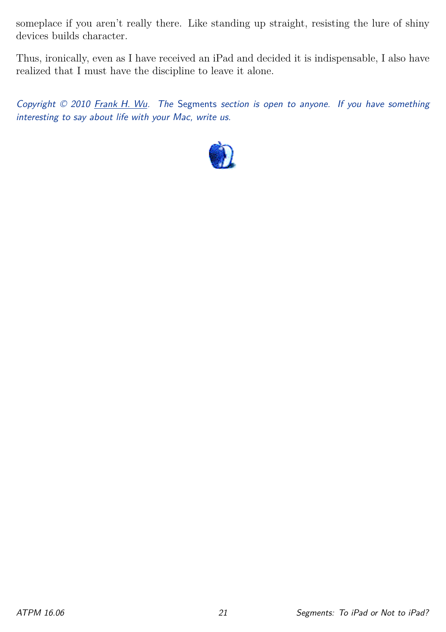someplace if you aren't really there. Like standing up straight, resisting the lure of shiny devices builds character.

Thus, ironically, even as I have received an iPad and decided it is indispensable, I also have realized that I must have the discipline to leave it alone.

Copyright © 2010 [Frank H. Wu.](mailto:fwu@atpm.com) The Segments section is open to anyone. If you have something interesting to say about life with your Mac, write us.

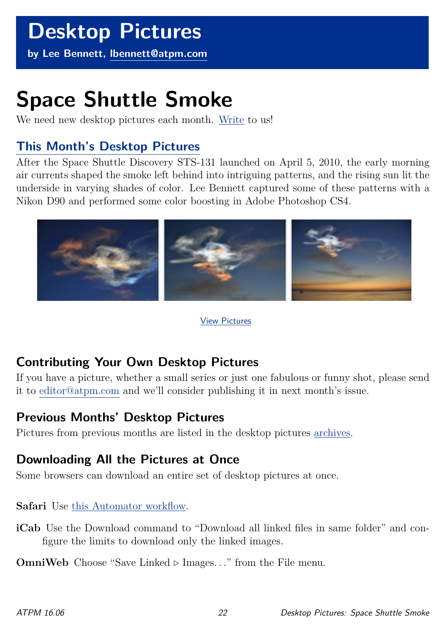## **Desktop Pictures**

**by Lee Bennett, [lbennett@atpm.com](mailto:lbennett@atpm.com)**

### **Space Shuttle Smoke**

We need new desktop pictures each month. [Write](mailto:editor@atpm.com) to us!

### **[This Month's Desktop Pictures](http://www.atpm.com/16.06/shuttle-smoke/)**

After the Space Shuttle Discovery STS-131 launched on April 5, 2010, the early morning air currents shaped the smoke left behind into intriguing patterns, and the rising sun lit the underside in varying shades of color. Lee Bennett captured some of these patterns with a Nikon D90 and performed some color boosting in Adobe Photoshop CS4.



[View Pictures](http://www.atpm.com/16.06/shuttle-smoke/)

### **Contributing Your Own Desktop Pictures**

If you have a picture, whether a small series or just one fabulous or funny shot, please send it to [editor@atpm.com](mailto:editor@atpm.com) and we'll consider publishing it in next month's issue.

### **Previous Months' Desktop Pictures**

Pictures from previous months are listed in the desktop pictures [archives.](http://www.atpm.com/Back/desktop-pictures.shtml)

### **Downloading All the Pictures at Once**

Some browsers can download an entire set of desktop pictures at once.

**Safari** Use [this Automator workflow.](http://automator.us/examples-02.html)

**iCab** Use the Download command to "Download all linked files in same folder" and configure the limits to download only the linked images.

**OmniWeb** Choose "Save Linked ⊳ Images..." from the File menu.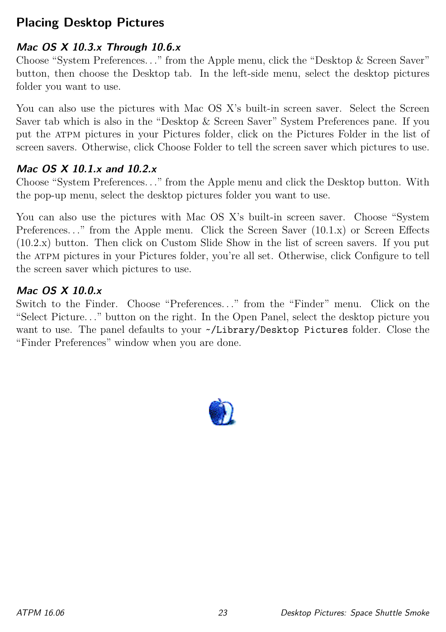### **Placing Desktop Pictures**

### **Mac OS X 10.3.x Through 10.6.x**

Choose "System Preferences*. . .*" from the Apple menu, click the "Desktop & Screen Saver" button, then choose the Desktop tab. In the left-side menu, select the desktop pictures folder you want to use.

You can also use the pictures with Mac OS X's built-in screen saver. Select the Screen Saver tab which is also in the "Desktop & Screen Saver" System Preferences pane. If you put the ATPM pictures in your Pictures folder, click on the Pictures Folder in the list of screen savers. Otherwise, click Choose Folder to tell the screen saver which pictures to use.

#### **Mac OS X 10.1.x and 10.2.x**

Choose "System Preferences*. . .*" from the Apple menu and click the Desktop button. With the pop-up menu, select the desktop pictures folder you want to use.

You can also use the pictures with Mac OS X's built-in screen saver. Choose "System" Preferences..." from the Apple menu. Click the Screen Saver (10.1.x) or Screen Effects (10.2.x) button. Then click on Custom Slide Show in the list of screen savers. If you put the atpm pictures in your Pictures folder, you're all set. Otherwise, click Configure to tell the screen saver which pictures to use.

#### **Mac OS X 10.0.x**

Switch to the Finder. Choose "Preferences*. . .*" from the "Finder" menu. Click on the "Select Picture*. . .*" button on the right. In the Open Panel, select the desktop picture you want to use. The panel defaults to your  $\alpha$ /Library/Desktop Pictures folder. Close the "Finder Preferences" window when you are done.

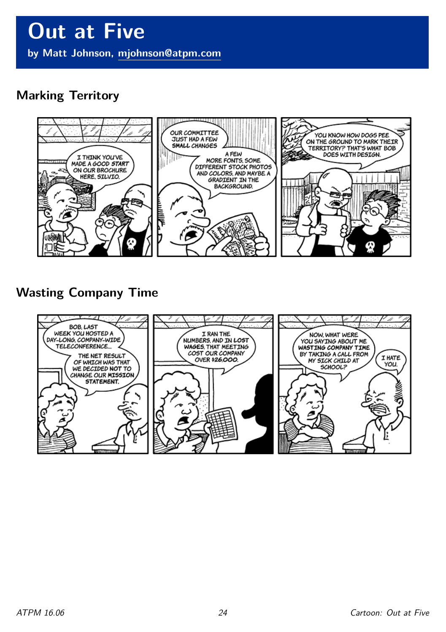### **Marking Territory**



### **Wasting Company Time**

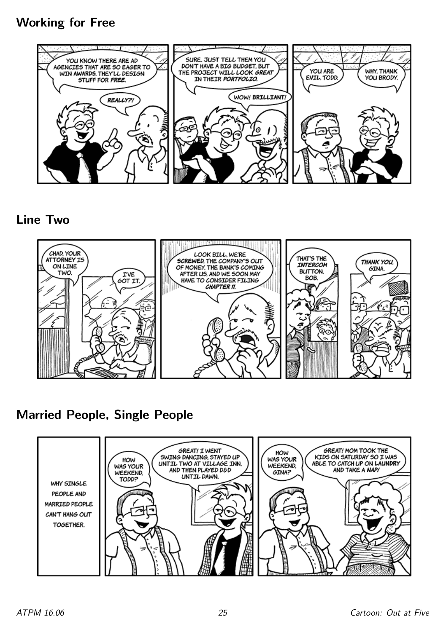### **Working for Free**



#### **Line Two**



### **Married People, Single People**

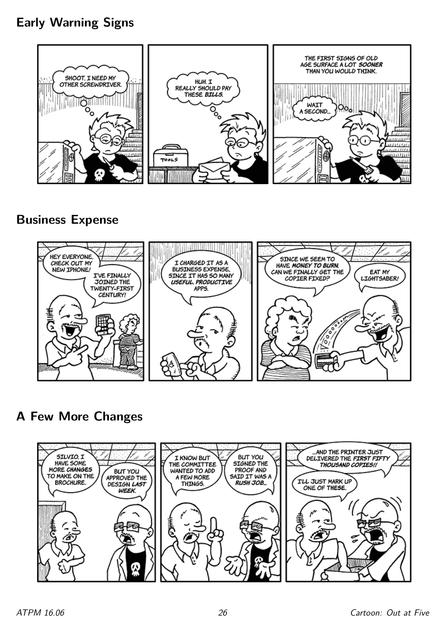### **Early Warning Signs**



### **Business Expense**



**A Few More Changes**

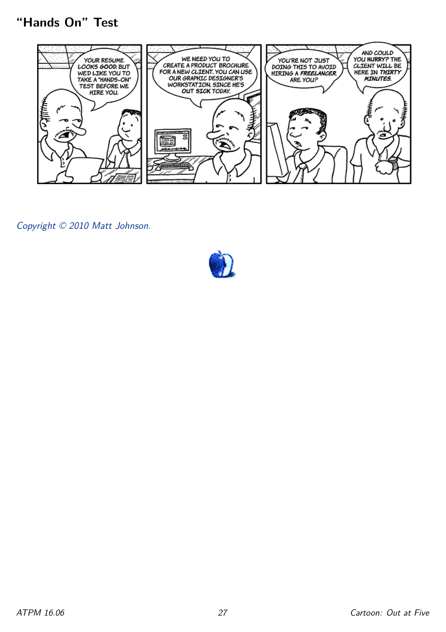### **"Hands On" Test**



Copyright © 2010 Matt Johnson.

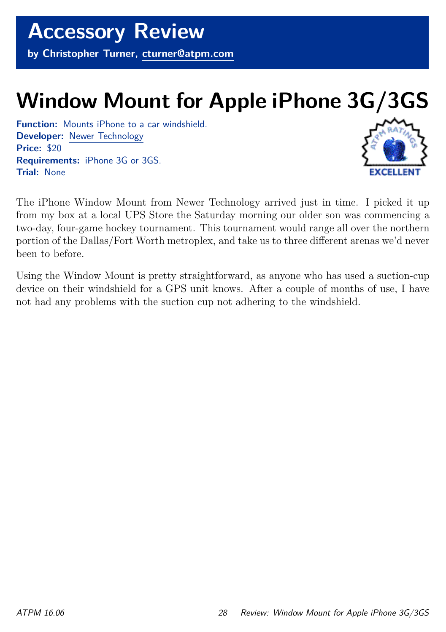### **Accessory Review by Christopher Turner, [cturner@atpm.com](mailto:cturner@atpm.com)**

**Window Mount for Apple iPhone 3G/3GS**

**Function:** Mounts iPhone to a car windshield. **Developer:** [Newer Technology](http://www.newertech.com/products/iphwinmount.php) **Price:** \$20 **Requirements:** iPhone 3G or 3GS. **Trial:** None



The iPhone Window Mount from Newer Technology arrived just in time. I picked it up from my box at a local UPS Store the Saturday morning our older son was commencing a two-day, four-game hockey tournament. This tournament would range all over the northern portion of the Dallas/Fort Worth metroplex, and take us to three different arenas we'd never been to before.

Using the Window Mount is pretty straightforward, as anyone who has used a suction-cup device on their windshield for a GPS unit knows. After a couple of months of use, I have not had any problems with the suction cup not adhering to the windshield.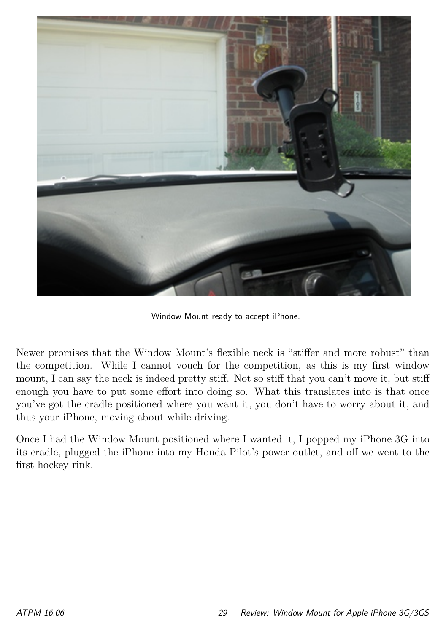

Window Mount ready to accept iPhone.

Newer promises that the Window Mount's flexible neck is "stiffer and more robust" than the competition. While I cannot vouch for the competition, as this is my first window mount, I can say the neck is indeed pretty stiff. Not so stiff that you can't move it, but stiff enough you have to put some effort into doing so. What this translates into is that once you've got the cradle positioned where you want it, you don't have to worry about it, and thus your iPhone, moving about while driving.

Once I had the Window Mount positioned where I wanted it, I popped my iPhone 3G into its cradle, plugged the iPhone into my Honda Pilot's power outlet, and off we went to the first hockey rink.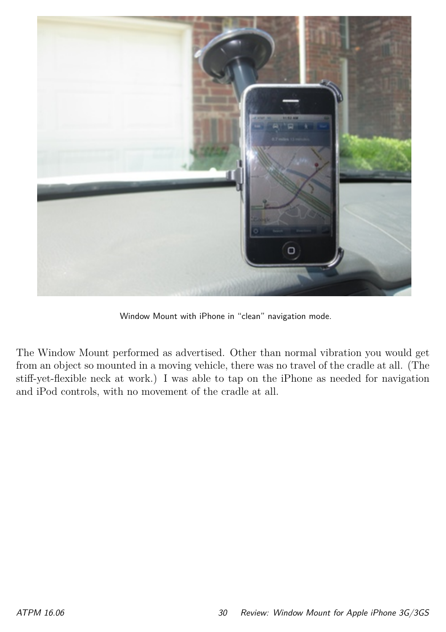

Window Mount with iPhone in "clean" navigation mode.

The Window Mount performed as advertised. Other than normal vibration you would get from an object so mounted in a moving vehicle, there was no travel of the cradle at all. (The stiff-yet-flexible neck at work.) I was able to tap on the iPhone as needed for navigation and iPod controls, with no movement of the cradle at all.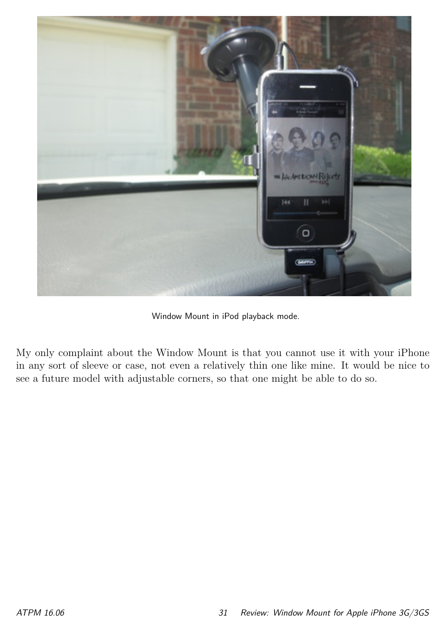

Window Mount in iPod playback mode.

My only complaint about the Window Mount is that you cannot use it with your iPhone in any sort of sleeve or case, not even a relatively thin one like mine. It would be nice to see a future model with adjustable corners, so that one might be able to do so.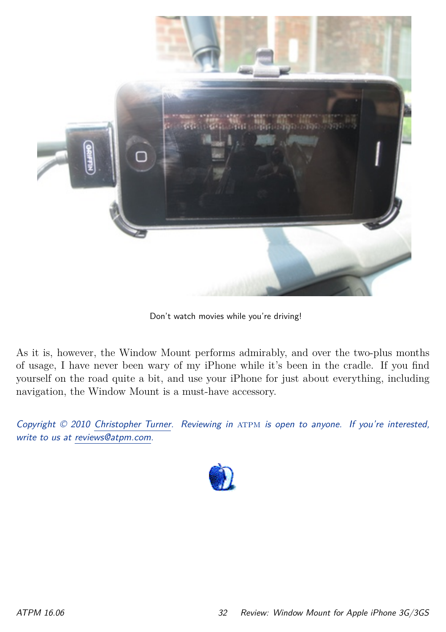

Don't watch movies while you're driving!

As it is, however, the Window Mount performs admirably, and over the two-plus months of usage, I have never been wary of my iPhone while it's been in the cradle. If you find yourself on the road quite a bit, and use your iPhone for just about everything, including navigation, the Window Mount is a must-have accessory.

Copyright © 2010 [Christopher Turner.](mailto:cturner@atpm.com) Reviewing in ATPM is open to anyone. If you're interested, write to us at [reviews@atpm.com.](mailto:reviews@atpm.com)

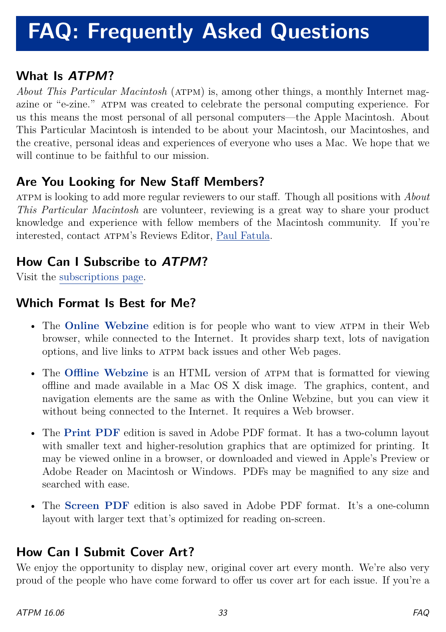### **FAQ: Frequently Asked Questions**

### **What Is ATPM?**

*About This Particular Macintosh* (ATPM) is, among other things, a monthly Internet magazine or "e-zine." ATPM was created to celebrate the personal computing experience. For us this means the most personal of all personal computers—the Apple Macintosh. About This Particular Macintosh is intended to be about your Macintosh, our Macintoshes, and the creative, personal ideas and experiences of everyone who uses a Mac. We hope that we will continue to be faithful to our mission.

### **Are You Looking for New Staff Members?**

atpm is looking to add more regular reviewers to our staff. Though all positions with *About This Particular Macintosh* are volunteer, reviewing is a great way to share your product knowledge and experience with fellow members of the Macintosh community. If you're interested, contact ATPM's Reviews Editor, [Paul Fatula.](mailto:reviews@atpm.com)

#### **How Can I Subscribe to ATPM?**

Visit the [subscriptions page.](http://www.atpm.com/subscribe)

### **Which Format Is Best for Me?**

- The **Online Webzine** edition is for people who want to view ATPM in their Web browser, while connected to the Internet. It provides sharp text, lots of navigation options, and live links to atpm back issues and other Web pages.
- The **Offline** Webzine is an HTML version of ATPM that is formatted for viewing offline and made available in a Mac OS X disk image. The graphics, content, and navigation elements are the same as with the Online Webzine, but you can view it without being connected to the Internet. It requires a Web browser.
- The **Print PDF** edition is saved in Adobe PDF format. It has a two-column layout with smaller text and higher-resolution graphics that are optimized for printing. It may be viewed online in a browser, or downloaded and viewed in Apple's Preview or Adobe Reader on Macintosh or Windows. PDFs may be magnified to any size and searched with ease.
- The **Screen PDF** edition is also saved in Adobe PDF format. It's a one-column layout with larger text that's optimized for reading on-screen.

### **How Can I Submit Cover Art?**

We enjoy the opportunity to display new, original cover art every month. We're also very proud of the people who have come forward to offer us cover art for each issue. If you're a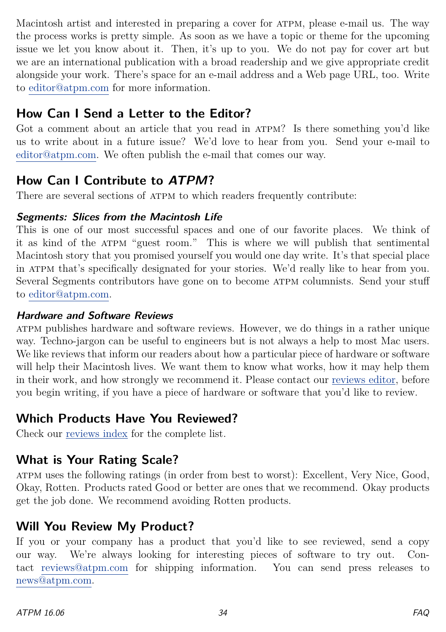Macintosh artist and interested in preparing a cover for ATPM, please e-mail us. The way the process works is pretty simple. As soon as we have a topic or theme for the upcoming issue we let you know about it. Then, it's up to you. We do not pay for cover art but we are an international publication with a broad readership and we give appropriate credit alongside your work. There's space for an e-mail address and a Web page URL, too. Write to [editor@atpm.com](mailto:editor@atpm.com) for more information.

### **How Can I Send a Letter to the Editor?**

Got a comment about an article that you read in ATPM? Is there something you'd like us to write about in a future issue? We'd love to hear from you. Send your e-mail to [editor@atpm.com.](mailto:editor@atpm.com) We often publish the e-mail that comes our way.

### **How Can I Contribute to ATPM?**

There are several sections of ATPM to which readers frequently contribute:

#### **Segments: Slices from the Macintosh Life**

This is one of our most successful spaces and one of our favorite places. We think of it as kind of the ATPM "guest room." This is where we will publish that sentimental Macintosh story that you promised yourself you would one day write. It's that special place in ATPM that's specifically designated for your stories. We'd really like to hear from you. Several Segments contributors have gone on to become ATPM columnists. Send your stuff to [editor@atpm.com.](mailto:editor@atpm.com)

#### **Hardware and Software Reviews**

atpm publishes hardware and software reviews. However, we do things in a rather unique way. Techno-jargon can be useful to engineers but is not always a help to most Mac users. We like reviews that inform our readers about how a particular piece of hardware or software will help their Macintosh lives. We want them to know what works, how it may help them in their work, and how strongly we recommend it. Please contact our [reviews editor,](mailto:reviews@atpm.com) before you begin writing, if you have a piece of hardware or software that you'd like to review.

### **Which Products Have You Reviewed?**

Check our [reviews index](http://www.atpm.com/reviews/) for the complete list.

### **What is Your Rating Scale?**

atpm uses the following ratings (in order from best to worst): Excellent, Very Nice, Good, Okay, Rotten. Products rated Good or better are ones that we recommend. Okay products get the job done. We recommend avoiding Rotten products.

### **Will You Review My Product?**

If you or your company has a product that you'd like to see reviewed, send a copy our way. We're always looking for interesting pieces of software to try out. Contact [reviews@atpm.com](mailto:reviews@atpm.com) for shipping information. You can send press releases to [news@atpm.com.](mailto:news@atpm.com)